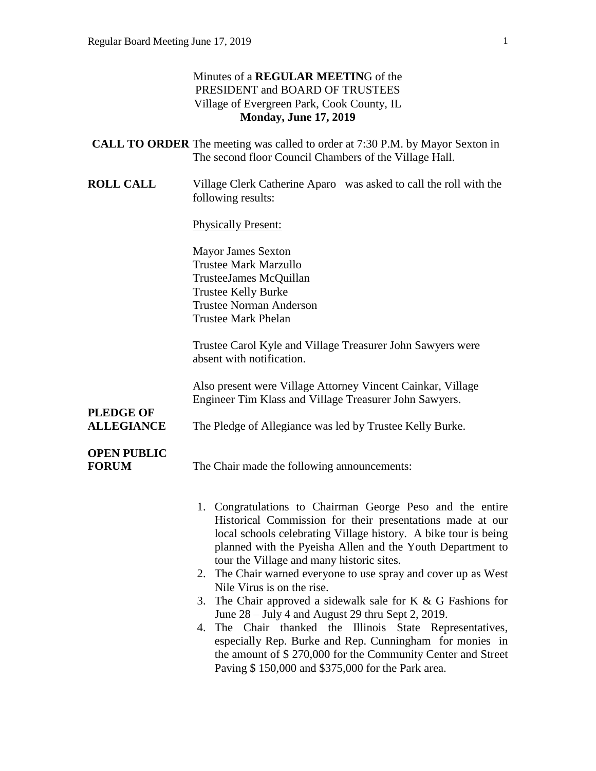#### Minutes of a **REGULAR MEETIN**G of the PRESIDENT and BOARD OF TRUSTEES Village of Evergreen Park, Cook County, IL **Monday, June 17, 2019**

| <b>CALL TO ORDER</b> The meeting was called to order at 7:30 P.M. by Mayor Sexton in |                                                        |  |
|--------------------------------------------------------------------------------------|--------------------------------------------------------|--|
|                                                                                      | The second floor Council Chambers of the Village Hall. |  |

**ROLL CALL** Village Clerk Catherine Aparo was asked to call the roll with the following results:

Physically Present:

Mayor James Sexton Trustee Mark Marzullo TrusteeJames McQuillan Trustee Kelly Burke Trustee Norman Anderson Trustee Mark Phelan

Trustee Carol Kyle and Village Treasurer John Sawyers were absent with notification.

Also present were Village Attorney Vincent Cainkar, Village Engineer Tim Klass and Village Treasurer John Sawyers.

# **PLEDGE OF**

**ALLEGIANCE** The Pledge of Allegiance was led by Trustee Kelly Burke.

# **OPEN PUBLIC**

**FORUM** The Chair made the following announcements:

- 1. Congratulations to Chairman George Peso and the entire Historical Commission for their presentations made at our local schools celebrating Village history. A bike tour is being planned with the Pyeisha Allen and the Youth Department to tour the Village and many historic sites.
- 2. The Chair warned everyone to use spray and cover up as West Nile Virus is on the rise.
- 3. The Chair approved a sidewalk sale for K & G Fashions for June 28 – July 4 and August 29 thru Sept 2, 2019.
- 4. The Chair thanked the Illinois State Representatives, especially Rep. Burke and Rep. Cunningham for monies in the amount of \$ 270,000 for the Community Center and Street Paving \$ 150,000 and \$375,000 for the Park area.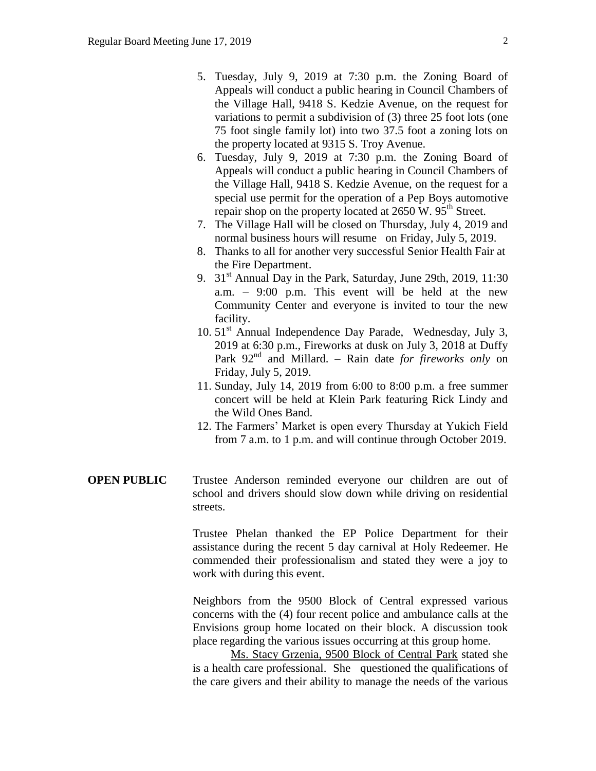- 5. Tuesday, July 9, 2019 at 7:30 p.m. the Zoning Board of Appeals will conduct a public hearing in Council Chambers of the Village Hall, 9418 S. Kedzie Avenue, on the request for variations to permit a subdivision of (3) three 25 foot lots (one 75 foot single family lot) into two 37.5 foot a zoning lots on the property located at 9315 S. Troy Avenue.
- 6. Tuesday, July 9, 2019 at 7:30 p.m. the Zoning Board of Appeals will conduct a public hearing in Council Chambers of the Village Hall, 9418 S. Kedzie Avenue, on the request for a special use permit for the operation of a Pep Boys automotive repair shop on the property located at  $2650 \text{ W}$ .  $95^{\text{th}}$  Street.
- 7. The Village Hall will be closed on Thursday, July 4, 2019 and normal business hours will resume on Friday, July 5, 2019.
- 8. Thanks to all for another very successful Senior Health Fair at the Fire Department.
- 9.  $31<sup>st</sup>$  Annual Day in the Park, Saturday, June 29th, 2019, 11:30 a.m. – 9:00 p.m. This event will be held at the new Community Center and everyone is invited to tour the new facility.
- 10. 51<sup>st</sup> Annual Independence Day Parade, Wednesday, July 3, 2019 at 6:30 p.m., Fireworks at dusk on July 3, 2018 at Duffy Park 92<sup>nd</sup> and Millard. – Rain date *for fireworks only* on Friday, July 5, 2019.
- 11. Sunday, July 14, 2019 from 6:00 to 8:00 p.m. a free summer concert will be held at Klein Park featuring Rick Lindy and the Wild Ones Band.
- 12. The Farmers' Market is open every Thursday at Yukich Field from 7 a.m. to 1 p.m. and will continue through October 2019.
- **OPEN PUBLIC** Trustee Anderson reminded everyone our children are out of school and drivers should slow down while driving on residential streets.

Trustee Phelan thanked the EP Police Department for their assistance during the recent 5 day carnival at Holy Redeemer. He commended their professionalism and stated they were a joy to work with during this event.

Neighbors from the 9500 Block of Central expressed various concerns with the (4) four recent police and ambulance calls at the Envisions group home located on their block. A discussion took place regarding the various issues occurring at this group home.

Ms. Stacy Grzenia, 9500 Block of Central Park stated she is a health care professional. She questioned the qualifications of the care givers and their ability to manage the needs of the various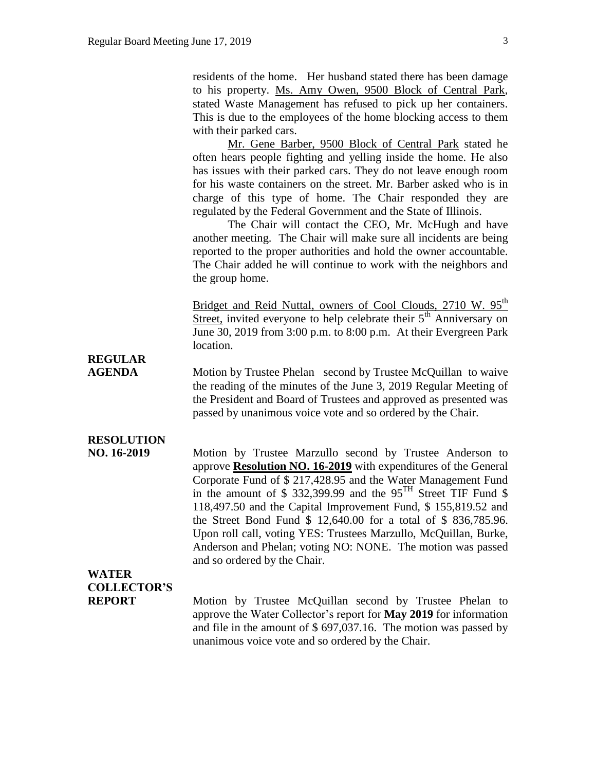residents of the home. Her husband stated there has been damage to his property. Ms. Amy Owen, 9500 Block of Central Park, stated Waste Management has refused to pick up her containers. This is due to the employees of the home blocking access to them with their parked cars.

Mr. Gene Barber, 9500 Block of Central Park stated he often hears people fighting and yelling inside the home. He also has issues with their parked cars. They do not leave enough room for his waste containers on the street. Mr. Barber asked who is in charge of this type of home. The Chair responded they are regulated by the Federal Government and the State of Illinois.

The Chair will contact the CEO, Mr. McHugh and have another meeting. The Chair will make sure all incidents are being reported to the proper authorities and hold the owner accountable. The Chair added he will continue to work with the neighbors and the group home.

Bridget and Reid Nuttal, owners of Cool Clouds, 2710 W. 95<sup>th</sup> Street, invited everyone to help celebrate their  $5<sup>th</sup>$  Anniversary on June 30, 2019 from 3:00 p.m. to 8:00 p.m. At their Evergreen Park location.

## **REGULAR**

**AGENDA** Motion by Trustee Phelan second by Trustee McQuillan to waive the reading of the minutes of the June 3, 2019 Regular Meeting of the President and Board of Trustees and approved as presented was passed by unanimous voice vote and so ordered by the Chair.

### **RESOLUTION**

**NO. 16-2019** Motion by Trustee Marzullo second by Trustee Anderson to approve **Resolution NO. 16-2019** with expenditures of the General Corporate Fund of \$ 217,428.95 and the Water Management Fund in the amount of \$ 332,399.99 and the  $95<sup>TH</sup>$  Street TIF Fund \$ 118,497.50 and the Capital Improvement Fund, \$ 155,819.52 and the Street Bond Fund \$ 12,640.00 for a total of \$ 836,785.96. Upon roll call, voting YES: Trustees Marzullo, McQuillan, Burke, Anderson and Phelan; voting NO: NONE. The motion was passed and so ordered by the Chair.

## **WATER COLLECTOR'S**

**REPORT** Motion by Trustee McQuillan second by Trustee Phelan to approve the Water Collector's report for **May 2019** for information and file in the amount of \$ 697,037.16. The motion was passed by unanimous voice vote and so ordered by the Chair.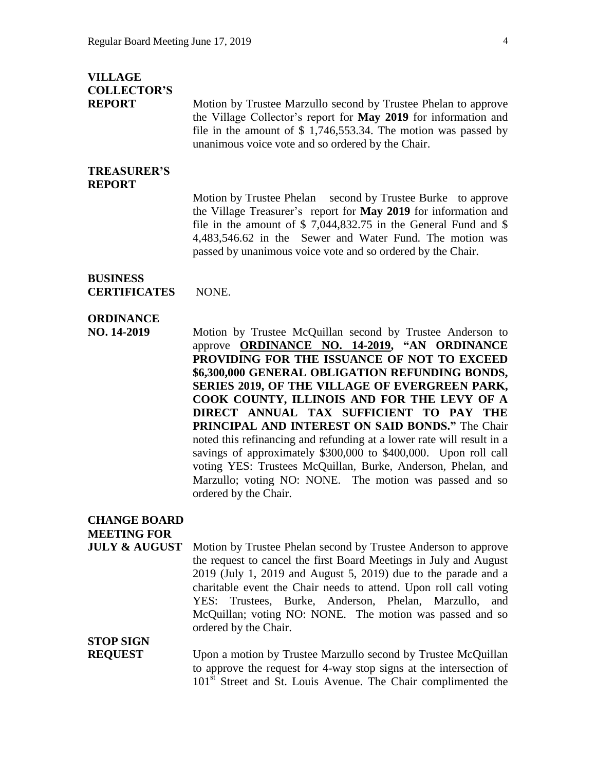### **VILLAGE COLLECTOR'S**

**REPORT** Motion by Trustee Marzullo second by Trustee Phelan to approve the Village Collector's report for **May 2019** for information and file in the amount of \$ 1,746,553.34. The motion was passed by unanimous voice vote and so ordered by the Chair.

#### **TREASURER'S REPORT**

Motion by Trustee Phelan second by Trustee Burke to approve the Village Treasurer's report for **May 2019** for information and file in the amount of \$ 7,044,832.75 in the General Fund and \$ 4,483,546.62 in the Sewer and Water Fund. The motion was passed by unanimous voice vote and so ordered by the Chair.

#### **BUSINESS CERTIFICATES** NONE.

### **ORDINANCE**

**NO. 14-2019** Motion by Trustee McQuillan second by Trustee Anderson to approve **ORDINANCE NO. 14-2019, "AN ORDINANCE PROVIDING FOR THE ISSUANCE OF NOT TO EXCEED \$6,300,000 GENERAL OBLIGATION REFUNDING BONDS, SERIES 2019, OF THE VILLAGE OF EVERGREEN PARK, COOK COUNTY, ILLINOIS AND FOR THE LEVY OF A DIRECT ANNUAL TAX SUFFICIENT TO PAY THE PRINCIPAL AND INTEREST ON SAID BONDS."** The Chair noted this refinancing and refunding at a lower rate will result in a savings of approximately \$300,000 to \$400,000. Upon roll call voting YES: Trustees McQuillan, Burke, Anderson, Phelan, and Marzullo; voting NO: NONE. The motion was passed and so ordered by the Chair.

### **CHANGE BOARD**

**MEETING FOR**

**JULY & AUGUST** Motion by Trustee Phelan second by Trustee Anderson to approve the request to cancel the first Board Meetings in July and August 2019 (July 1, 2019 and August 5, 2019) due to the parade and a charitable event the Chair needs to attend. Upon roll call voting YES: Trustees, Burke, Anderson, Phelan, Marzullo, and McQuillan; voting NO: NONE. The motion was passed and so ordered by the Chair.

## **STOP SIGN**

**REQUEST** Upon a motion by Trustee Marzullo second by Trustee McQuillan to approve the request for 4-way stop signs at the intersection of 101<sup>st</sup> Street and St. Louis Avenue. The Chair complimented the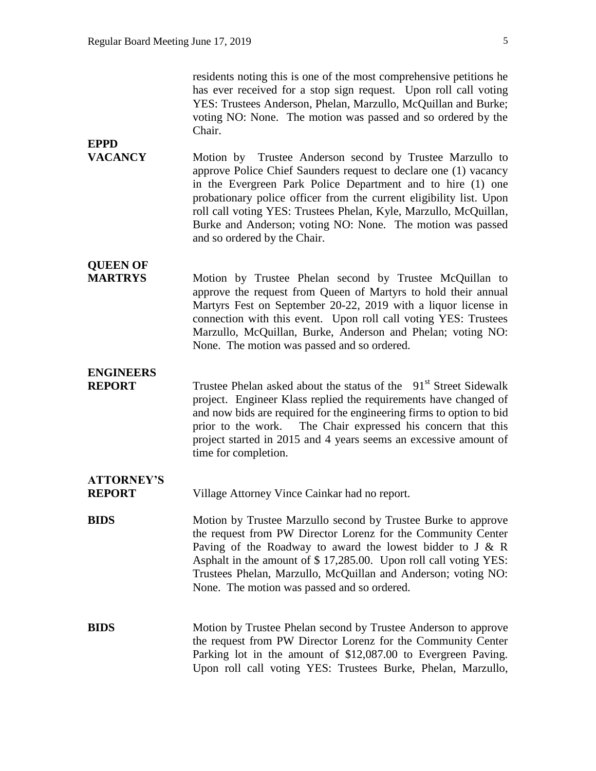residents noting this is one of the most comprehensive petitions he has ever received for a stop sign request. Upon roll call voting YES: Trustees Anderson, Phelan, Marzullo, McQuillan and Burke; voting NO: None. The motion was passed and so ordered by the Chair.

**VACANCY** Motion by Trustee Anderson second by Trustee Marzullo to approve Police Chief Saunders request to declare one (1) vacancy in the Evergreen Park Police Department and to hire (1) one probationary police officer from the current eligibility list. Upon roll call voting YES: Trustees Phelan, Kyle, Marzullo, McQuillan, Burke and Anderson; voting NO: None. The motion was passed and so ordered by the Chair.

## **QUEEN OF**

**EPPD** 

**MARTRYS** Motion by Trustee Phelan second by Trustee McQuillan to approve the request from Queen of Martyrs to hold their annual Martyrs Fest on September 20-22, 2019 with a liquor license in connection with this event. Upon roll call voting YES: Trustees Marzullo, McQuillan, Burke, Anderson and Phelan; voting NO: None. The motion was passed and so ordered.

### **ENGINEERS**

**REPORT** Trustee Phelan asked about the status of the 91<sup>st</sup> Street Sidewalk project. Engineer Klass replied the requirements have changed of and now bids are required for the engineering firms to option to bid prior to the work. The Chair expressed his concern that this project started in 2015 and 4 years seems an excessive amount of time for completion.

## **ATTORNEY'S**

**REPORT** Village Attorney Vince Cainkar had no report.

**BIDS** Motion by Trustee Marzullo second by Trustee Burke to approve the request from PW Director Lorenz for the Community Center Paving of the Roadway to award the lowest bidder to J  $& R$ Asphalt in the amount of \$ 17,285.00. Upon roll call voting YES: Trustees Phelan, Marzullo, McQuillan and Anderson; voting NO: None. The motion was passed and so ordered.

**BIDS** Motion by Trustee Phelan second by Trustee Anderson to approve the request from PW Director Lorenz for the Community Center Parking lot in the amount of \$12,087.00 to Evergreen Paving. Upon roll call voting YES: Trustees Burke, Phelan, Marzullo,